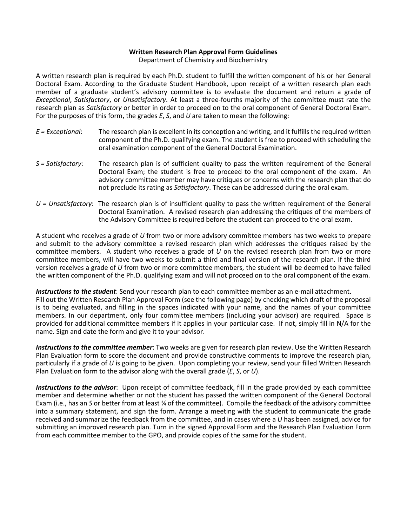#### **Written Research Plan Approval Form Guidelines**

Department of Chemistry and Biochemistry

A written research plan is required by each Ph.D. student to fulfill the written component of his or her General Doctoral Exam. According to the Graduate Student Handbook, upon receipt of a written research plan each member of a graduate student's advisory committee is to evaluate the document and return a grade of *Exceptional*, *Satisfactory*, or *Unsatisfactory*. At least a three-fourths majority of the committee must rate the research plan as *Satisfactory* or better in order to proceed on to the oral component of General Doctoral Exam. For the purposes of this form, the grades *E*, *S*, and *U* are taken to mean the following:

- *E = Exceptional*: The research plan is excellent in its conception and writing, and it fulfills the required written component of the Ph.D. qualifying exam. The student is free to proceed with scheduling the oral examination component of the General Doctoral Examination.
- *S = Satisfactory*: The research plan is of sufficient quality to pass the written requirement of the General Doctoral Exam; the student is free to proceed to the oral component of the exam. An advisory committee member may have critiques or concerns with the research plan that do not preclude its rating as *Satisfactory*. These can be addressed during the oral exam.
- *U = Unsatisfactory*: The research plan is of insufficient quality to pass the written requirement of the General Doctoral Examination. A revised research plan addressing the critiques of the members of the Advisory Committee is required before the student can proceed to the oral exam.

A student who receives a grade of *U* from two or more advisory committee members has two weeks to prepare and submit to the advisory committee a revised research plan which addresses the critiques raised by the committee members. A student who receives a grade of *U* on the revised research plan from two or more committee members, will have two weeks to submit a third and final version of the research plan. If the third version receives a grade of *U* from two or more committee members, the student will be deemed to have failed the written component of the Ph.D. qualifying exam and will not proceed on to the oral component of the exam.

*Instructions to the student*: Send your research plan to each committee member as an e-mail attachment. Fill out the Written Research Plan Approval Form (see the following page) by checking which draft of the proposal is to being evaluated, and filling in the spaces indicated with your name, and the names of your committee members. In our department, only four committee members (including your advisor) are required. Space is provided for additional committee members if it applies in your particular case. If not, simply fill in N/A for the name. Sign and date the form and give it to your advisor.

*Instructions to the committee member*: Two weeks are given for research plan review. Use the Written Research Plan Evaluation form to score the document and provide constructive comments to improve the research plan, particularly if a grade of *U* is going to be given. Upon completing your review, send your filled Written Research Plan Evaluation form to the advisor along with the overall grade (*E*, *S*, or *U*).

*Instructions to the advisor*: Upon receipt of committee feedback, fill in the grade provided by each committee member and determine whether or not the student has passed the written component of the General Doctoral Exam (i.e., has an *S* or better from at least ¾ of the committee). Compile the feedback of the advisory committee into a summary statement, and sign the form. Arrange a meeting with the student to communicate the grade received and summarize the feedback from the committee, and in cases where a *U* has been assigned, advice for submitting an improved research plan. Turn in the signed Approval Form and the Research Plan Evaluation Form from each committee member to the GPO, and provide copies of the same for the student.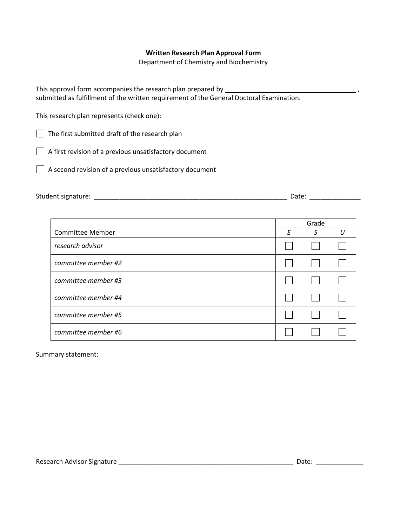# **Written Research Plan Approval Form**

Department of Chemistry and Biochemistry

| This approval form accompanies the research plan prepared by                             |  |
|------------------------------------------------------------------------------------------|--|
| submitted as fulfillment of the written requirement of the General Doctoral Examination. |  |

This research plan represents (check one):

The first submitted draft of the research plan

A first revision of a previous unsatisfactory document

A second revision of a previous unsatisfactory document

| Student signature:<br>___ |  | alt.<br>. |  |
|---------------------------|--|-----------|--|
|---------------------------|--|-----------|--|

|                         | Grade |   |    |
|-------------------------|-------|---|----|
| <b>Committee Member</b> | F     | S | 11 |
| research advisor        |       |   |    |
| committee member #2     |       |   |    |
| committee member #3     |       |   |    |
| committee member #4     |       |   |    |
| committee member #5     |       |   |    |
| committee member #6     |       |   |    |

Summary statement: